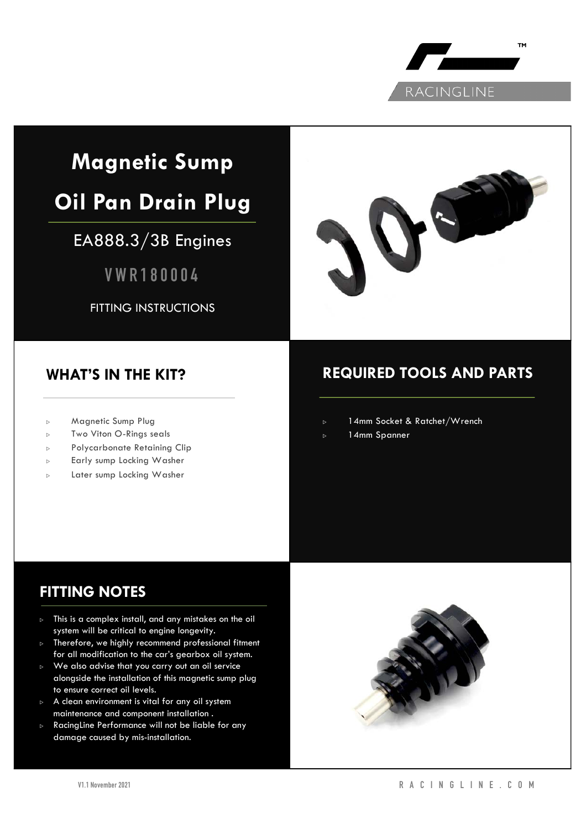

# **Magnetic Sump**

# **Oil Pan Drain Plug**

# EA888.3/3B Engines

**VWR180004**

FITTING INSTRUCTIONS



## **WHAT'S IN THE KIT?**

- <sup>▷</sup> Magnetic Sump Plug
- <sup>▷</sup> Two Viton O-Rings seals
- <sup>▷</sup> Polycarbonate Retaining Clip
- <sup>▷</sup> Early sump Locking Washer
- <sup>▷</sup> Later sump Locking Washer

# **REQUIRED TOOLS AND PARTS**

- <sup>▷</sup> 14mm Socket & Ratchet/Wrench
- <sup>▷</sup> 14mm Spanner

# **FITTING NOTES**

- <sup>▷</sup> This is a complex install, and any mistakes on the oil system will be critical to engine longevity.
- <sup>▷</sup> Therefore, we highly recommend professional fitment for all modification to the car's gearbox oil system.
- <sup>▷</sup> We also advise that you carry out an oil service alongside the installation of this magnetic sump plug to ensure correct oil levels.
- <sup>▷</sup> A clean environment is vital for any oil system maintenance and component installation .
- RacingLine Performance will not be liable for any damage caused by mis-installation.